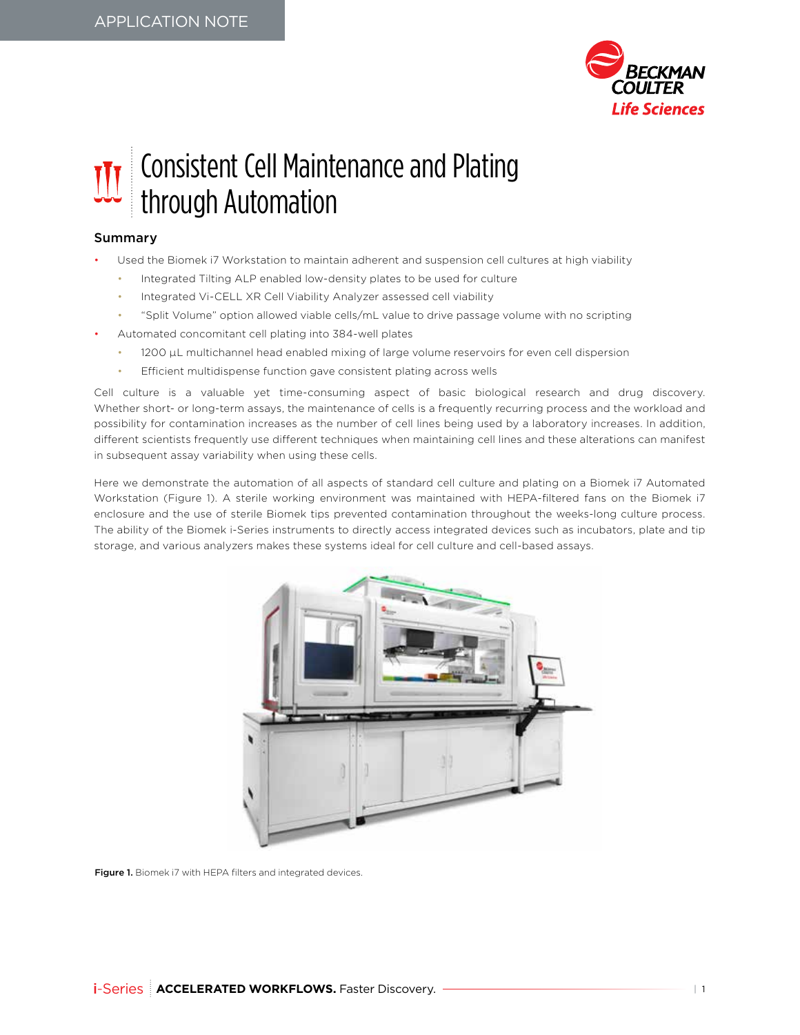

## Consistent Cell Maintenance and Plating through Automation

## Summary

- Used the Biomek i7 Workstation to maintain adherent and suspension cell cultures at high viability
	- Integrated Tilting ALP enabled low-density plates to be used for culture
	- Integrated Vi-CELL XR Cell Viability Analyzer assessed cell viability
	- "Split Volume" option allowed viable cells/mL value to drive passage volume with no scripting
- Automated concomitant cell plating into 384-well plates
	- 1200 µL multichannel head enabled mixing of large volume reservoirs for even cell dispersion
	- Efficient multidispense function gave consistent plating across wells

Cell culture is a valuable yet time-consuming aspect of basic biological research and drug discovery. Whether short- or long-term assays, the maintenance of cells is a frequently recurring process and the workload and possibility for contamination increases as the number of cell lines being used by a laboratory increases. In addition, different scientists frequently use different techniques when maintaining cell lines and these alterations can manifest in subsequent assay variability when using these cells.

Here we demonstrate the automation of all aspects of standard cell culture and plating on a Biomek i7 Automated Workstation (Figure 1). A sterile working environment was maintained with HEPA-filtered fans on the Biomek i7 enclosure and the use of sterile Biomek tips prevented contamination throughout the weeks-long culture process. The ability of the Biomek i-Series instruments to directly access integrated devices such as incubators, plate and tip storage, and various analyzers makes these systems ideal for cell culture and cell-based assays.



Figure 1. Biomek i7 with HEPA filters and integrated devices.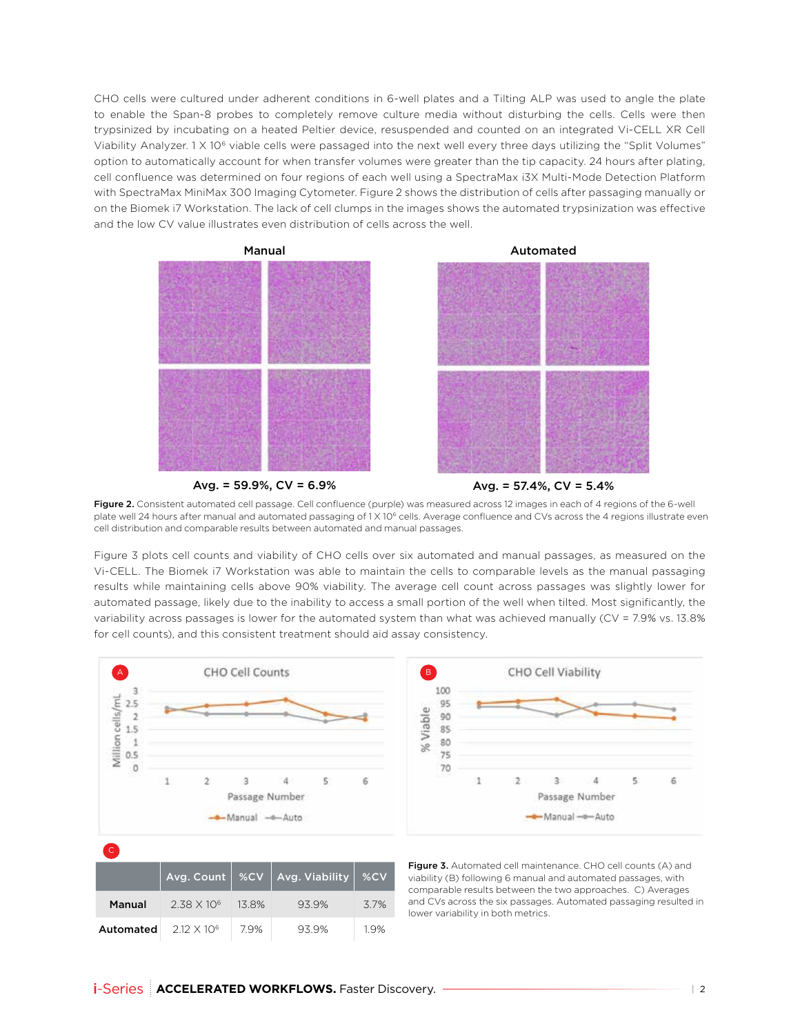CHO cells were cultured under adherent conditions in 6-well plates and a Tilting ALP was used to angle the plate to enable the Span-8 probes to completely remove culture media without disturbing the cells. Cells were then trypsinized by incubating on a heated Peltier device, resuspended and counted on an integrated Vi-CELL XR Cell Viability Analyzer. 1 X 106 viable cells were passaged into the next well every three days utilizing the "Split Volumes" option to automatically account for when transfer volumes were greater than the tip capacity. 24 hours after plating, cell confluence was determined on four regions of each well using a SpectraMax i3X Multi-Mode Detection Platform with SpectraMax MiniMax 300 Imaging Cytometer. Figure 2 shows the distribution of cells after passaging manually or on the Biomek i7 Workstation. The lack of cell clumps in the images shows the automated trypsinization was effective and the low CV value illustrates even distribution of cells across the well.



Avg. =  $59.9\%$ , CV =  $6.9\%$ 



Figure 2. Consistent automated cell passage. Cell confluence (purple) was measured across 12 images in each of 4 regions of the 6-well plate well 24 hours after manual and automated passaging of 1 X 10<sup>6</sup> cells. Average confluence and CVs across the 4 regions illustrate even cell distribution and comparable results between automated and manual passages.

Figure 3 plots cell counts and viability of CHO cells over six automated and manual passages, as measured on the Vi-CELL. The Biomek i7 Workstation was able to maintain the cells to comparable levels as the manual passaging results while maintaining cells above 90% viability. The average cell count across passages was slightly lower for automated passage, likely due to the inability to access a small portion of the well when tilted. Most significantly, the variability across passages is lower for the automated system than what was achieved manually (CV = 7.9% vs. 13.8% for cell counts), and this consistent treatment should aid assay consistency.





Figure 3. Automated cell maintenance. CHO cell counts (A) and viability (B) following 6 manual and automated passages, with comparable results between the two approaches. C) Averages and CVs across the six passages. Automated passaging resulted in lower variability in both metrics.